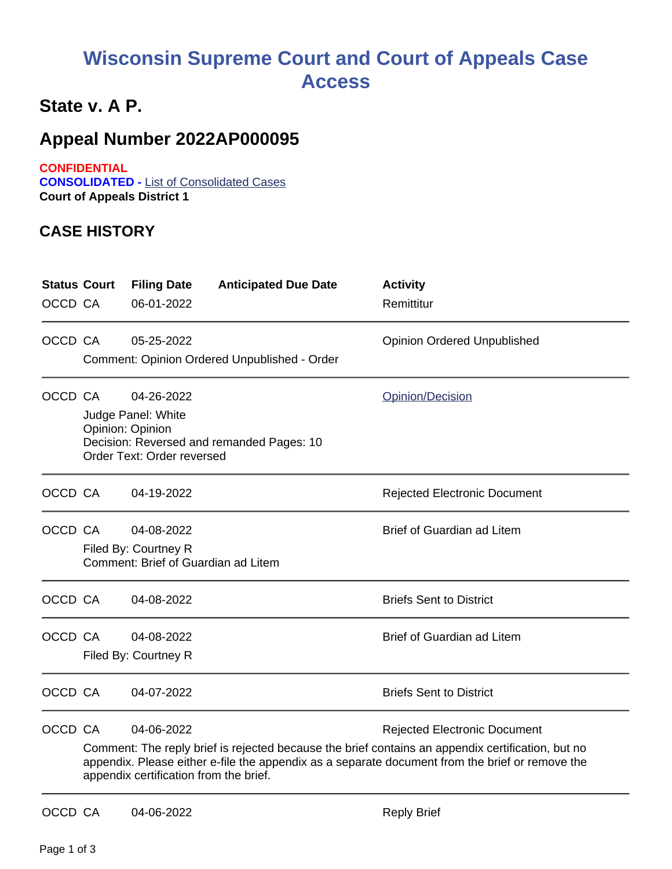## **Wisconsin Supreme Court and Court of Appeals Case Access**

## **State v. A P.**

## **Appeal Number 2022AP000095**

**CONFIDENTIAL CONSOLIDATED -** List of Consolidated Cases **Court of Appeals District 1**

## **CASE HISTORY**

| OCCD CA | <b>Status Court</b>                                                                                                                                                                                                                                                                                 | <b>Filing Date</b><br>06-01-2022                                                   | <b>Anticipated Due Date</b>                  | <b>Activity</b><br>Remittitur       |
|---------|-----------------------------------------------------------------------------------------------------------------------------------------------------------------------------------------------------------------------------------------------------------------------------------------------------|------------------------------------------------------------------------------------|----------------------------------------------|-------------------------------------|
| OCCD CA |                                                                                                                                                                                                                                                                                                     | 05-25-2022                                                                         | Comment: Opinion Ordered Unpublished - Order | <b>Opinion Ordered Unpublished</b>  |
| OCCD CA |                                                                                                                                                                                                                                                                                                     | 04-26-2022<br>Judge Panel: White<br>Opinion: Opinion<br>Order Text: Order reversed | Decision: Reversed and remanded Pages: 10    | Opinion/Decision                    |
| OCCD CA |                                                                                                                                                                                                                                                                                                     | 04-19-2022                                                                         |                                              | <b>Rejected Electronic Document</b> |
| OCCD CA |                                                                                                                                                                                                                                                                                                     | 04-08-2022<br>Filed By: Courtney R<br>Comment: Brief of Guardian ad Litem          |                                              | <b>Brief of Guardian ad Litem</b>   |
| OCCD CA |                                                                                                                                                                                                                                                                                                     | 04-08-2022                                                                         |                                              | <b>Briefs Sent to District</b>      |
| OCCD CA |                                                                                                                                                                                                                                                                                                     | 04-08-2022<br>Filed By: Courtney R                                                 |                                              | <b>Brief of Guardian ad Litem</b>   |
| OCCD CA |                                                                                                                                                                                                                                                                                                     | 04-07-2022                                                                         |                                              | <b>Briefs Sent to District</b>      |
| OCCD CA | 04-06-2022<br><b>Rejected Electronic Document</b><br>Comment: The reply brief is rejected because the brief contains an appendix certification, but no<br>appendix. Please either e-file the appendix as a separate document from the brief or remove the<br>appendix certification from the brief. |                                                                                    |                                              |                                     |
| OCCD CA |                                                                                                                                                                                                                                                                                                     | 04-06-2022                                                                         |                                              | <b>Reply Brief</b>                  |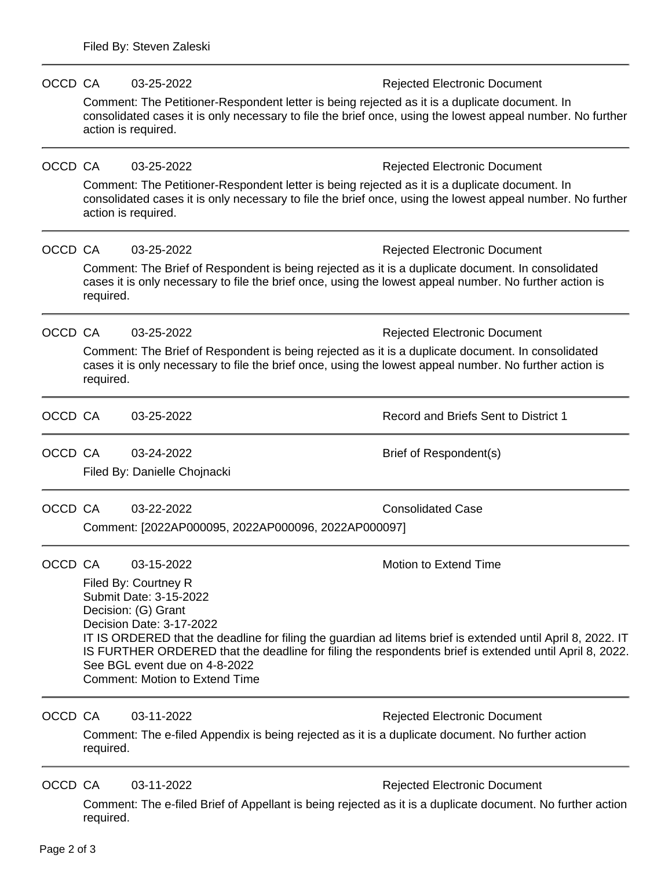| OCCD CA |                                                                                                                                                                                                                                                                                                 | 03-25-2022                                                                                                                                                                                                                         | <b>Rejected Electronic Document</b>  |  |  |  |  |
|---------|-------------------------------------------------------------------------------------------------------------------------------------------------------------------------------------------------------------------------------------------------------------------------------------------------|------------------------------------------------------------------------------------------------------------------------------------------------------------------------------------------------------------------------------------|--------------------------------------|--|--|--|--|
|         |                                                                                                                                                                                                                                                                                                 | Comment: The Petitioner-Respondent letter is being rejected as it is a duplicate document. In<br>consolidated cases it is only necessary to file the brief once, using the lowest appeal number. No further<br>action is required. |                                      |  |  |  |  |
| OCCD CA |                                                                                                                                                                                                                                                                                                 | 03-25-2022                                                                                                                                                                                                                         | <b>Rejected Electronic Document</b>  |  |  |  |  |
|         | Comment: The Petitioner-Respondent letter is being rejected as it is a duplicate document. In<br>consolidated cases it is only necessary to file the brief once, using the lowest appeal number. No further<br>action is required.                                                              |                                                                                                                                                                                                                                    |                                      |  |  |  |  |
| OCCD CA |                                                                                                                                                                                                                                                                                                 | 03-25-2022                                                                                                                                                                                                                         | <b>Rejected Electronic Document</b>  |  |  |  |  |
|         | Comment: The Brief of Respondent is being rejected as it is a duplicate document. In consolidated<br>cases it is only necessary to file the brief once, using the lowest appeal number. No further action is<br>required.                                                                       |                                                                                                                                                                                                                                    |                                      |  |  |  |  |
| OCCD CA |                                                                                                                                                                                                                                                                                                 | 03-25-2022                                                                                                                                                                                                                         | <b>Rejected Electronic Document</b>  |  |  |  |  |
|         | Comment: The Brief of Respondent is being rejected as it is a duplicate document. In consolidated<br>cases it is only necessary to file the brief once, using the lowest appeal number. No further action is<br>required.                                                                       |                                                                                                                                                                                                                                    |                                      |  |  |  |  |
| OCCD CA |                                                                                                                                                                                                                                                                                                 | 03-25-2022                                                                                                                                                                                                                         | Record and Briefs Sent to District 1 |  |  |  |  |
| OCCD CA |                                                                                                                                                                                                                                                                                                 | 03-24-2022                                                                                                                                                                                                                         | Brief of Respondent(s)               |  |  |  |  |
|         |                                                                                                                                                                                                                                                                                                 | Filed By: Danielle Chojnacki                                                                                                                                                                                                       |                                      |  |  |  |  |
| OCCD CA |                                                                                                                                                                                                                                                                                                 | 03-22-2022                                                                                                                                                                                                                         | <b>Consolidated Case</b>             |  |  |  |  |
|         |                                                                                                                                                                                                                                                                                                 | Comment: [2022AP000095, 2022AP000096, 2022AP000097]                                                                                                                                                                                |                                      |  |  |  |  |
| OCCD CA |                                                                                                                                                                                                                                                                                                 | 03-15-2022                                                                                                                                                                                                                         | Motion to Extend Time                |  |  |  |  |
|         | Filed By: Courtney R<br>Submit Date: 3-15-2022<br>Decision: (G) Grant<br>Decision Date: 3-17-2022                                                                                                                                                                                               |                                                                                                                                                                                                                                    |                                      |  |  |  |  |
|         | IT IS ORDERED that the deadline for filing the guardian ad litems brief is extended until April 8, 2022. IT<br>IS FURTHER ORDERED that the deadline for filing the respondents brief is extended until April 8, 2022.<br>See BGL event due on 4-8-2022<br><b>Comment: Motion to Extend Time</b> |                                                                                                                                                                                                                                    |                                      |  |  |  |  |
| OCCD CA |                                                                                                                                                                                                                                                                                                 | 03-11-2022                                                                                                                                                                                                                         | <b>Rejected Electronic Document</b>  |  |  |  |  |
|         | Comment: The e-filed Appendix is being rejected as it is a duplicate document. No further action<br>required.                                                                                                                                                                                   |                                                                                                                                                                                                                                    |                                      |  |  |  |  |
| OCCD CA |                                                                                                                                                                                                                                                                                                 | 03-11-2022                                                                                                                                                                                                                         | <b>Rejected Electronic Document</b>  |  |  |  |  |
|         | Comment: The e-filed Brief of Appellant is being rejected as it is a duplicate document. No further action<br>required.                                                                                                                                                                         |                                                                                                                                                                                                                                    |                                      |  |  |  |  |